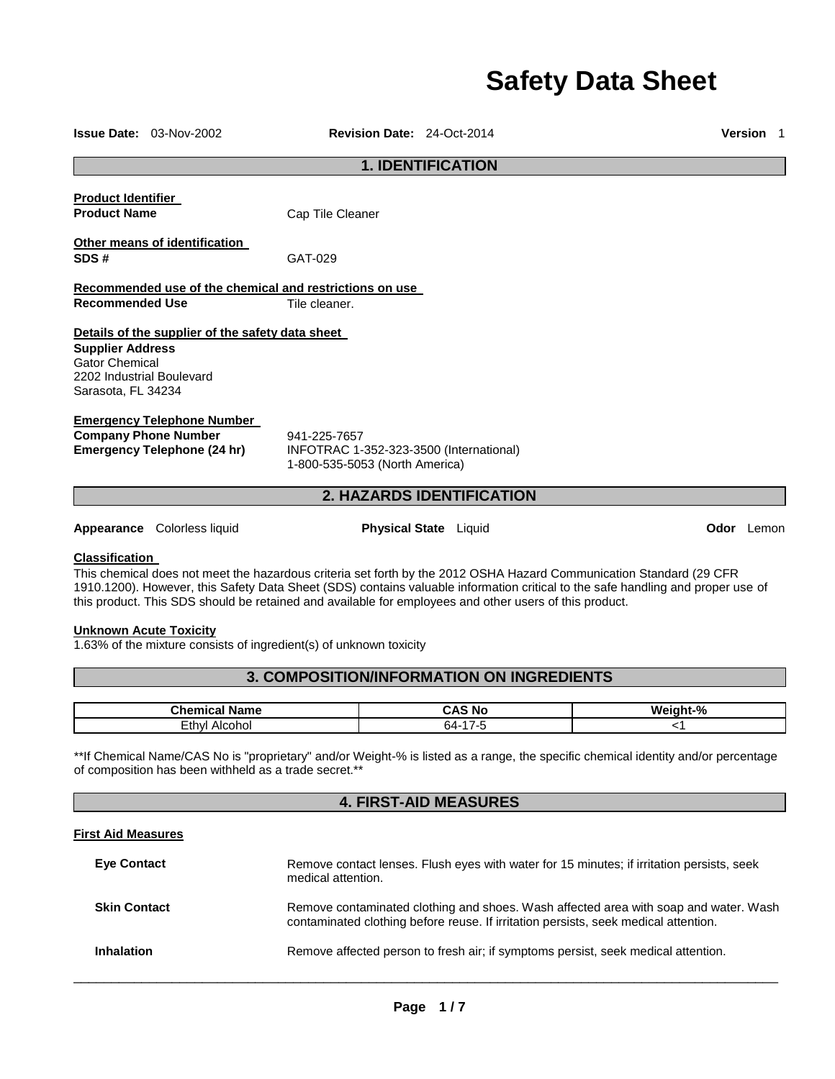# **Safety Data Sheet**

| <b>1. IDENTIFICATION</b>                                                                                                        |                                                                                                        |                              |          |                   |
|---------------------------------------------------------------------------------------------------------------------------------|--------------------------------------------------------------------------------------------------------|------------------------------|----------|-------------------|
|                                                                                                                                 |                                                                                                        |                              |          |                   |
| <b>Product Identifier</b><br><b>Product Name</b>                                                                                |                                                                                                        |                              |          |                   |
|                                                                                                                                 | Cap Tile Cleaner                                                                                       |                              |          |                   |
| <b>Other means of identification</b>                                                                                            |                                                                                                        |                              |          |                   |
| SDS#                                                                                                                            | GAT-029                                                                                                |                              |          |                   |
| Recommended use of the chemical and restrictions on use                                                                         |                                                                                                        |                              |          |                   |
| <b>Recommended Use</b>                                                                                                          | Tile cleaner.                                                                                          |                              |          |                   |
|                                                                                                                                 |                                                                                                        |                              |          |                   |
| Details of the supplier of the safety data sheet<br><b>Supplier Address</b>                                                     |                                                                                                        |                              |          |                   |
| <b>Gator Chemical</b>                                                                                                           |                                                                                                        |                              |          |                   |
| 2202 Industrial Boulevard                                                                                                       |                                                                                                        |                              |          |                   |
| Sarasota, FL 34234                                                                                                              |                                                                                                        |                              |          |                   |
| <b>Emergency Telephone Number</b>                                                                                               |                                                                                                        |                              |          |                   |
| <b>Company Phone Number</b>                                                                                                     | 941-225-7657                                                                                           |                              |          |                   |
| <b>Emergency Telephone (24 hr)</b>                                                                                              | INFOTRAC 1-352-323-3500 (International)                                                                |                              |          |                   |
|                                                                                                                                 | 1-800-535-5053 (North America)                                                                         |                              |          |                   |
|                                                                                                                                 |                                                                                                        | 2. HAZARDS IDENTIFICATION    |          |                   |
|                                                                                                                                 |                                                                                                        |                              |          |                   |
| <b>Appearance</b> Colorless liquid                                                                                              |                                                                                                        | <b>Physical State</b> Liquid |          | <b>Odor</b> Lemon |
| <b>Classification</b>                                                                                                           |                                                                                                        |                              |          |                   |
| This chemical does not meet the hazardous criteria set forth by the 2012 OSHA Hazard Communication Standard (29 CFR             |                                                                                                        |                              |          |                   |
| 1910.1200). However, this Safety Data Sheet (SDS) contains valuable information critical to the safe handling and proper use of |                                                                                                        |                              |          |                   |
|                                                                                                                                 | this product. This SDS should be retained and available for employees and other users of this product. |                              |          |                   |
|                                                                                                                                 |                                                                                                        |                              |          |                   |
|                                                                                                                                 |                                                                                                        |                              |          |                   |
| <b>Unknown Acute Toxicity</b><br>1.63% of the mixture consists of ingredient(s) of unknown toxicity                             |                                                                                                        |                              |          |                   |
|                                                                                                                                 |                                                                                                        |                              |          |                   |
|                                                                                                                                 | 3. COMPOSITION/INFORMATION ON INGREDIENTS                                                              |                              |          |                   |
| <b>Chemical Name</b>                                                                                                            |                                                                                                        | <b>CAS No</b>                | Weight-% |                   |

# **First Aid Measures**

| <b>Eye Contact</b>  | Remove contact lenses. Flush eyes with water for 15 minutes; if irritation persists, seek<br>medical attention.                                                             |
|---------------------|-----------------------------------------------------------------------------------------------------------------------------------------------------------------------------|
| <b>Skin Contact</b> | Remove contaminated clothing and shoes. Wash affected area with soap and water. Wash<br>contaminated clothing before reuse. If irritation persists, seek medical attention. |
| <b>Inhalation</b>   | Remove affected person to fresh air; if symptoms persist, seek medical attention.                                                                                           |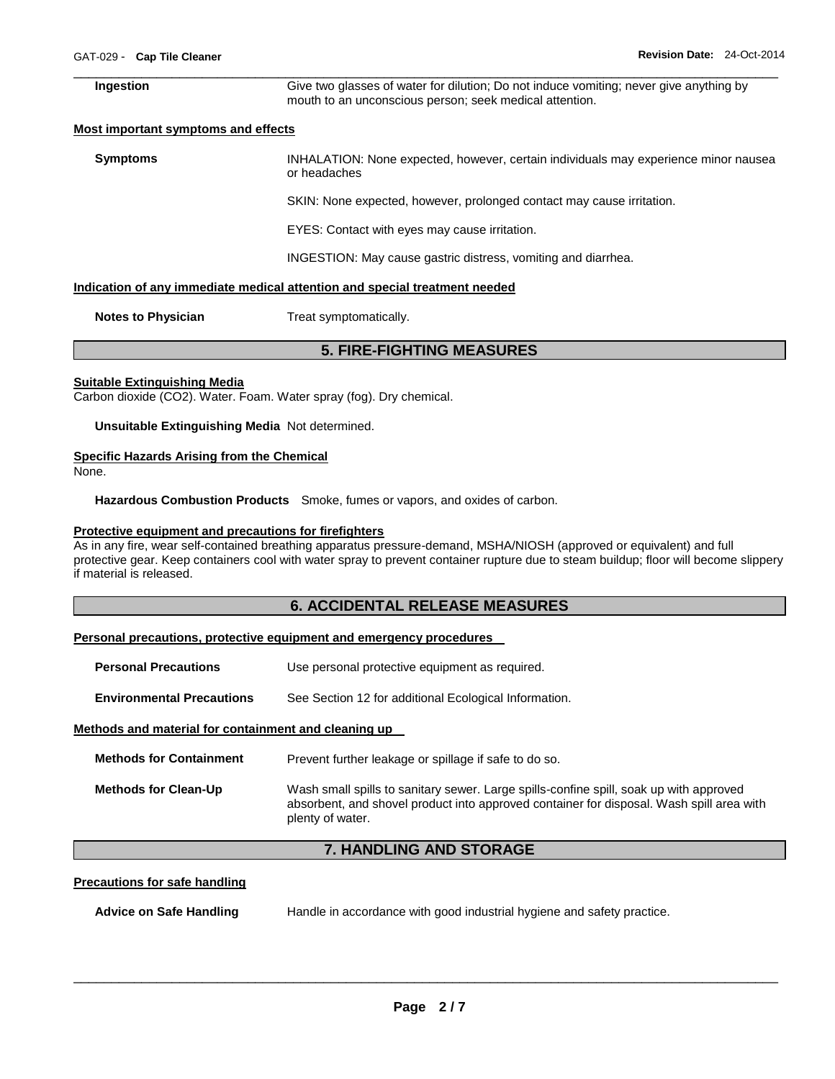#### \_\_\_\_\_\_\_\_\_\_\_\_\_\_\_\_\_\_\_\_\_\_\_\_\_\_\_\_\_\_\_\_\_\_\_\_\_\_\_\_\_\_\_\_\_\_\_\_\_\_\_\_\_\_\_\_\_\_\_\_\_\_\_\_\_\_\_\_\_\_\_\_\_\_\_\_\_\_\_\_\_\_\_\_\_\_\_\_\_\_\_\_\_ **Ingestion** Give two glasses of water for dilution; Do not induce vomiting; never give anything by mouth to an unconscious person; seek medical attention.

# **Most important symptoms and effects**

**Symptoms** INHALATION: None expected, however, certain individuals may experience minor nausea or headaches SKIN: None expected, however, prolonged contact may cause irritation. EYES: Contact with eyes may cause irritation. INGESTION: May cause gastric distress, vomiting and diarrhea.

#### **Indication of any immediate medical attention and special treatment needed**

**Notes to Physician Treat symptomatically.** 

# **5. FIRE-FIGHTING MEASURES**

# **Suitable Extinguishing Media**

Carbon dioxide (CO2). Water. Foam. Water spray (fog). Dry chemical.

**Unsuitable Extinguishing Media** Not determined.

# **Specific Hazards Arising from the Chemical**

None.

**Hazardous Combustion Products** Smoke, fumes or vapors, and oxides of carbon.

# **Protective equipment and precautions for firefighters**

As in any fire, wear self-contained breathing apparatus pressure-demand, MSHA/NIOSH (approved or equivalent) and full protective gear. Keep containers cool with water spray to prevent container rupture due to steam buildup; floor will become slippery if material is released.

# **6. ACCIDENTAL RELEASE MEASURES**

# **Personal precautions, protective equipment and emergency procedures**

- **Personal Precautions Use personal protective equipment as required.**
- **Environmental Precautions** See Section 12 for additional Ecological Information.

# **Methods and material for containment and cleaning up**

| <b>Methods for Containment</b> | Prevent further leakage or spillage if safe to do so.                                                                                                                                                  |
|--------------------------------|--------------------------------------------------------------------------------------------------------------------------------------------------------------------------------------------------------|
| <b>Methods for Clean-Up</b>    | Wash small spills to sanitary sewer. Large spills-confine spill, soak up with approved<br>absorbent, and shovel product into approved container for disposal. Wash spill area with<br>plenty of water. |

# **7. HANDLING AND STORAGE**

# **Precautions for safe handling**

**Advice on Safe Handling** Handle in accordance with good industrial hygiene and safety practice.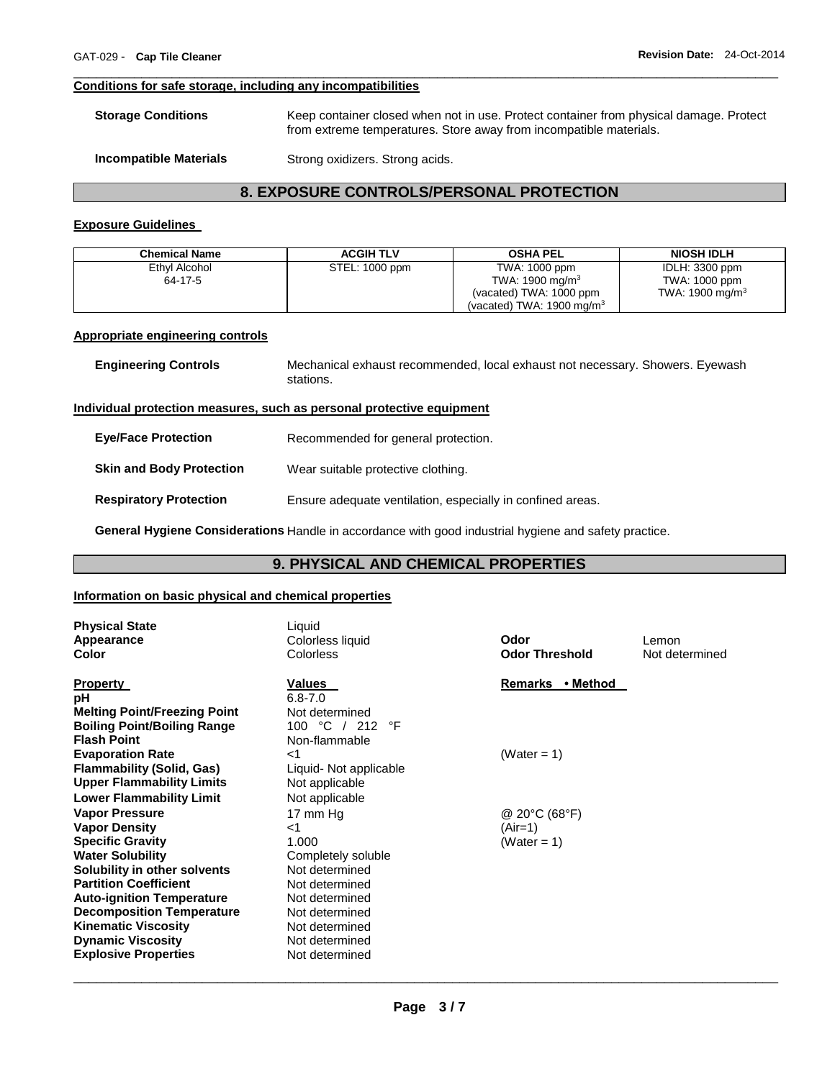# **Conditions for safe storage, including any incompatibilities**

| <b>Storage Conditions</b> | Keep container closed when not in use. Protect container from physical damage. Protect |
|---------------------------|----------------------------------------------------------------------------------------|
|                           | from extreme temperatures. Store away from incompatible materials.                     |
|                           |                                                                                        |

\_\_\_\_\_\_\_\_\_\_\_\_\_\_\_\_\_\_\_\_\_\_\_\_\_\_\_\_\_\_\_\_\_\_\_\_\_\_\_\_\_\_\_\_\_\_\_\_\_\_\_\_\_\_\_\_\_\_\_\_\_\_\_\_\_\_\_\_\_\_\_\_\_\_\_\_\_\_\_\_\_\_\_\_\_\_\_\_\_\_\_\_\_

| <b>Incompatible Materials</b> | Strong oxidizers. Strong acids. |
|-------------------------------|---------------------------------|
|-------------------------------|---------------------------------|

# **8. EXPOSURE CONTROLS/PERSONAL PROTECTION**

# **Exposure Guidelines**

| <b>Chemical Name</b>                                                  | <b>ACGIH TLV</b> | <b>OSHA PEL</b>                                                               | <b>NIOSH IDLH</b>  |
|-----------------------------------------------------------------------|------------------|-------------------------------------------------------------------------------|--------------------|
| Ethyl Alcohol                                                         | STEL: 1000 ppm   | TWA: 1000 ppm                                                                 | IDLH: 3300 ppm     |
| 64-17-5                                                               |                  | TWA: 1900 mg/m <sup>3</sup>                                                   | TWA: 1000 ppm      |
|                                                                       |                  | (vacated) TWA: 1000 ppm                                                       | TWA: 1900 mg/m $3$ |
|                                                                       |                  | (vacated) TWA: 1900 mg/m $3$                                                  |                    |
| Appropriate engineering controls                                      |                  |                                                                               |                    |
| <b>Engineering Controls</b>                                           | stations.        | Mechanical exhaust recommended, local exhaust not necessary. Showers. Eyewash |                    |
| Individual protection measures, such as nersonal protective equipment |                  |                                                                               |                    |

# **Individual protection measures, such as personal protective equipment**

| <b>Eve/Face Protection</b>      | Recommended for general protection.                        |
|---------------------------------|------------------------------------------------------------|
| <b>Skin and Body Protection</b> | Wear suitable protective clothing.                         |
| <b>Respiratory Protection</b>   | Ensure adequate ventilation, especially in confined areas. |

**General Hygiene Considerations** Handle in accordance with good industrial hygiene and safety practice.

# **9. PHYSICAL AND CHEMICAL PROPERTIES**

# **Information on basic physical and chemical properties**

| <b>Physical State</b><br>Appearance<br>Color | Liquid<br>Colorless liquid<br>Colorless | Odor<br><b>Odor Threshold</b> | Lemon<br>Not determined |
|----------------------------------------------|-----------------------------------------|-------------------------------|-------------------------|
| <b>Property</b>                              | Values                                  | Remarks • Method              |                         |
| рH<br><b>Melting Point/Freezing Point</b>    | $6.8 - 7.0$<br>Not determined           |                               |                         |
| <b>Boiling Point/Boiling Range</b>           | °C<br>°F<br>212<br>100                  |                               |                         |
| <b>Flash Point</b>                           | Non-flammable                           |                               |                         |
| <b>Evaporation Rate</b>                      | ا>                                      | (Water = 1)                   |                         |
| Flammability (Solid, Gas)                    | Liquid- Not applicable                  |                               |                         |
| <b>Upper Flammability Limits</b>             | Not applicable                          |                               |                         |
| <b>Lower Flammability Limit</b>              | Not applicable                          |                               |                         |
| <b>Vapor Pressure</b>                        | 17 mm Hg                                | @ 20°C (68°F)                 |                         |
| <b>Vapor Density</b>                         | ا>                                      | (Air=1)                       |                         |
| <b>Specific Gravity</b>                      | 1.000                                   | (Water = 1)                   |                         |
| <b>Water Solubility</b>                      | Completely soluble                      |                               |                         |
| Solubility in other solvents                 | Not determined                          |                               |                         |
| <b>Partition Coefficient</b>                 | Not determined                          |                               |                         |
| <b>Auto-ignition Temperature</b>             | Not determined                          |                               |                         |
| <b>Decomposition Temperature</b>             | Not determined                          |                               |                         |
| <b>Kinematic Viscosity</b>                   | Not determined                          |                               |                         |
| <b>Dynamic Viscosity</b>                     | Not determined                          |                               |                         |
| <b>Explosive Properties</b>                  | Not determined                          |                               |                         |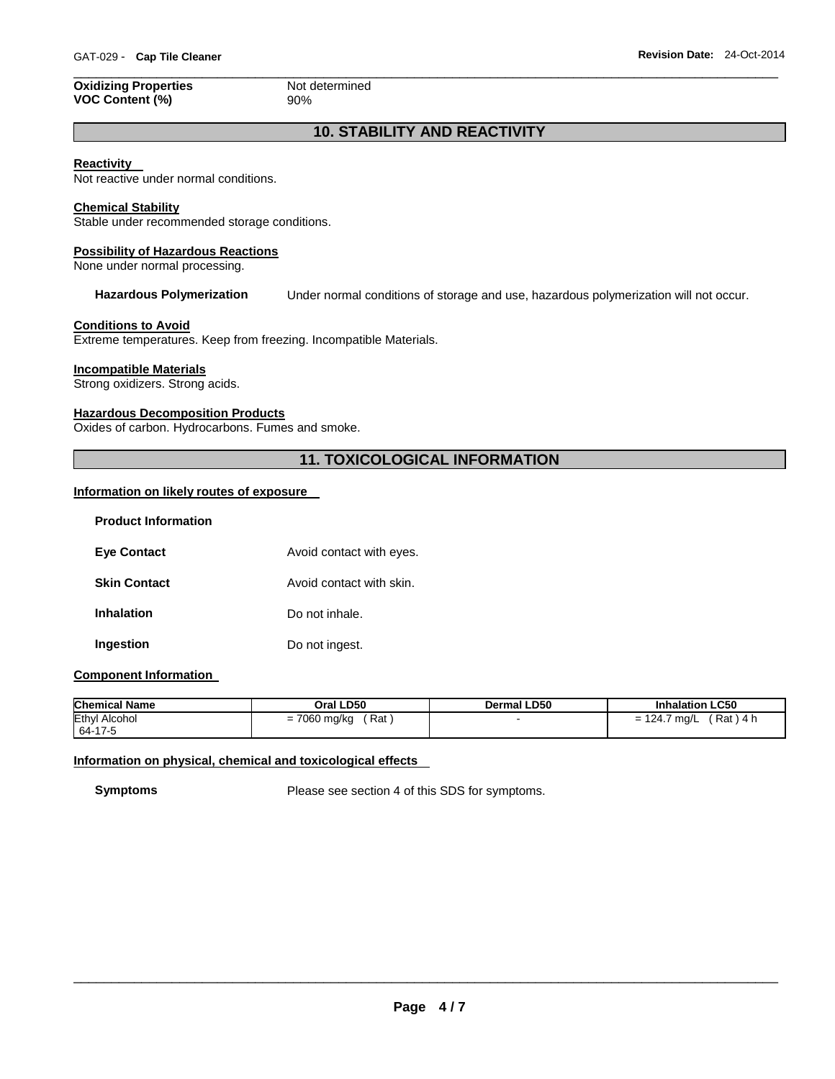# **Oxidizing Properties** Not determined **VOC Content (%)** 90%

\_\_\_\_\_\_\_\_\_\_\_\_\_\_\_\_\_\_\_\_\_\_\_\_\_\_\_\_\_\_\_\_\_\_\_\_\_\_\_\_\_\_\_\_\_\_\_\_\_\_\_\_\_\_\_\_\_\_\_\_\_\_\_\_\_\_\_\_\_\_\_\_\_\_\_\_\_\_\_\_\_\_\_\_\_\_\_\_\_\_\_\_\_

# **10. STABILITY AND REACTIVITY**

# **Reactivity**

Not reactive under normal conditions.

# **Chemical Stability**

Stable under recommended storage conditions.

# **Possibility of Hazardous Reactions**

None under normal processing.

**Hazardous Polymerization** Under normal conditions of storage and use, hazardous polymerization will not occur.

# **Conditions to Avoid**

Extreme temperatures. Keep from freezing. Incompatible Materials.

# **Incompatible Materials**

Strong oxidizers. Strong acids.

# **Hazardous Decomposition Products**

Oxides of carbon. Hydrocarbons. Fumes and smoke.

# **11. TOXICOLOGICAL INFORMATION**

# **Information on likely routes of exposure**

| <b>Product Information</b> |                          |
|----------------------------|--------------------------|
| <b>Eye Contact</b>         | Avoid contact with eyes. |
| <b>Skin Contact</b>        | Avoid contact with skin. |
| <b>Inhalation</b>          | Do not inhale.           |
| Ingestion                  | Do not ingest.           |

# **Component Information**

| <b>Chemical Name</b> | Oral LD50    | <b>Dermal LD50</b> | <b>Inhalation LC50</b> |
|----------------------|--------------|--------------------|------------------------|
| <b>Ethyl Alcohol</b> | ′ Rat ,      |                    | ´ Rat ) 4 h            |
| 64-17-5              | = 7060 mg/kg |                    | $= 124.7$ mg/L         |

# **Information on physical, chemical and toxicological effects**

**Symptoms** Please see section 4 of this SDS for symptoms.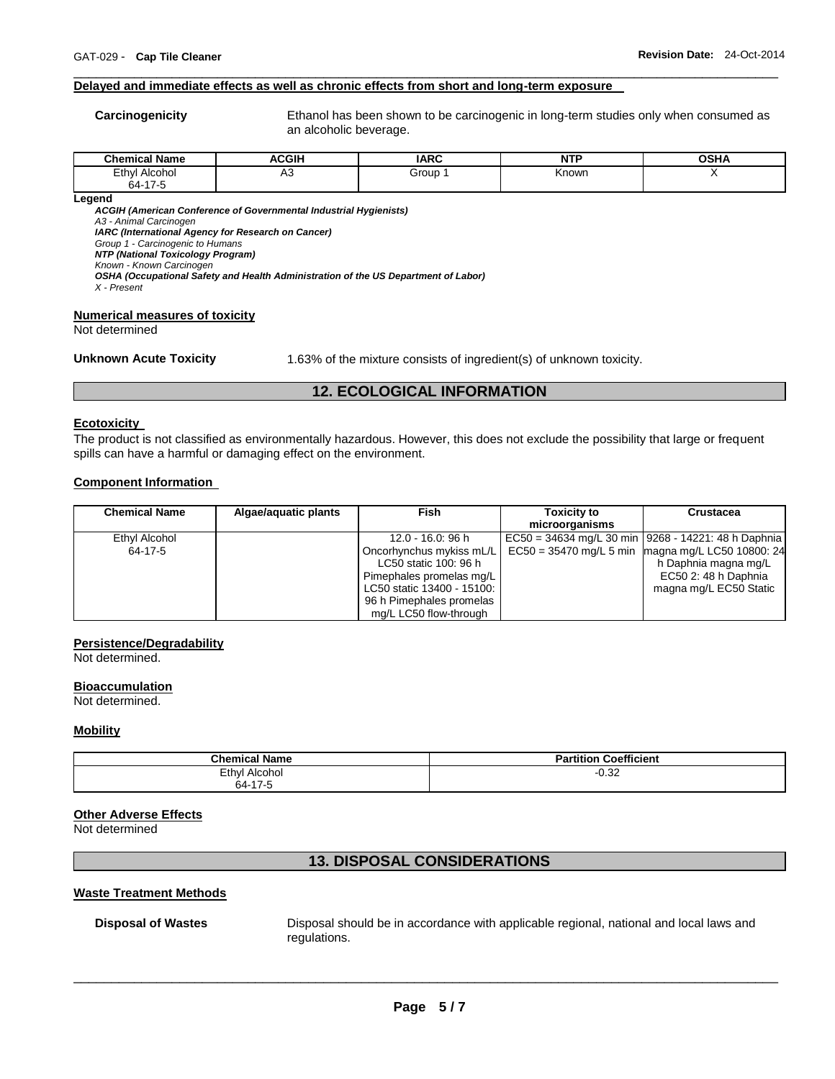# **Delayed and immediate effects as well as chronic effects from short and long-term exposure**

**Carcinogenicity** Ethanol has been shown to be carcinogenic in long-term studies only when consumed as an alcoholic beverage.

| .<br>$^{\circ}$ hami.<br>Name<br>mıcal | <b>ACGIH</b> | <b>IARC</b> | $\sim$<br>NI<br>. | <b>OCU</b><br>א⊓כי י |
|----------------------------------------|--------------|-------------|-------------------|----------------------|
| Ethyl<br>Alcohol<br>64-17-5            | nυ           | Group       | Known             |                      |

\_\_\_\_\_\_\_\_\_\_\_\_\_\_\_\_\_\_\_\_\_\_\_\_\_\_\_\_\_\_\_\_\_\_\_\_\_\_\_\_\_\_\_\_\_\_\_\_\_\_\_\_\_\_\_\_\_\_\_\_\_\_\_\_\_\_\_\_\_\_\_\_\_\_\_\_\_\_\_\_\_\_\_\_\_\_\_\_\_\_\_\_\_

**Legend** 

*ACGIH (American Conference of Governmental Industrial Hygienists)*

*A3 - Animal Carcinogen* 

*IARC (International Agency for Research on Cancer)*

*Group 1 - Carcinogenic to Humans* 

*NTP (National Toxicology Program) Known - Known Carcinogen* 

*OSHA (Occupational Safety and Health Administration of the US Department of Labor)*

*X - Present* 

#### **Numerical measures of toxicity**

Not determined

**Unknown Acute Toxicity** 1.63% of the mixture consists of ingredient(s) of unknown toxicity.

# **12. ECOLOGICAL INFORMATION**

#### **Ecotoxicity**

The product is not classified as environmentally hazardous. However, this does not exclude the possibility that large or frequent spills can have a harmful or damaging effect on the environment.

# **Component Information**

| <b>Chemical Name</b> | Algae/aguatic plants | <b>Fish</b>                | <b>Toxicity to</b> | Crustacea                                             |
|----------------------|----------------------|----------------------------|--------------------|-------------------------------------------------------|
|                      |                      |                            | microorganisms     |                                                       |
| Ethyl Alcohol        |                      | 12.0 - 16.0: 96 h          |                    | EC50 = 34634 mg/L 30 min   9268 - 14221: 48 h Daphnia |
| 64-17-5              |                      | Oncorhynchus mykiss mL/L   |                    | $EC50 = 35470$ mg/L 5 min magna mg/L LC50 10800: 24   |
|                      |                      | LC50 static 100: 96 h      |                    | h Daphnia magna mg/L                                  |
|                      |                      | Pimephales promelas mg/L   |                    | EC50 2: 48 h Daphnia                                  |
|                      |                      | LC50 static 13400 - 15100: |                    | magna mg/L EC50 Static                                |
|                      |                      | 96 h Pimephales promelas   |                    |                                                       |
|                      |                      | mg/L LC50 flow-through     |                    |                                                       |

# **Persistence/Degradability**

Not determined.

# **Bioaccumulation**

Not determined.

# **Mobility**

| <b>Chemical Name</b> | <b>Coefficient</b><br><b>Partition</b> |  |  |
|----------------------|----------------------------------------|--|--|
| Ethyl<br>Alcohol     | ሰ 22<br>∪.o∠                           |  |  |
| 64-17-5              |                                        |  |  |

# **Other Adverse Effects**

Not determined

# **13. DISPOSAL CONSIDERATIONS**

# **Waste Treatment Methods**

**Disposal of Wastes** Disposal should be in accordance with applicable regional, national and local laws and regulations.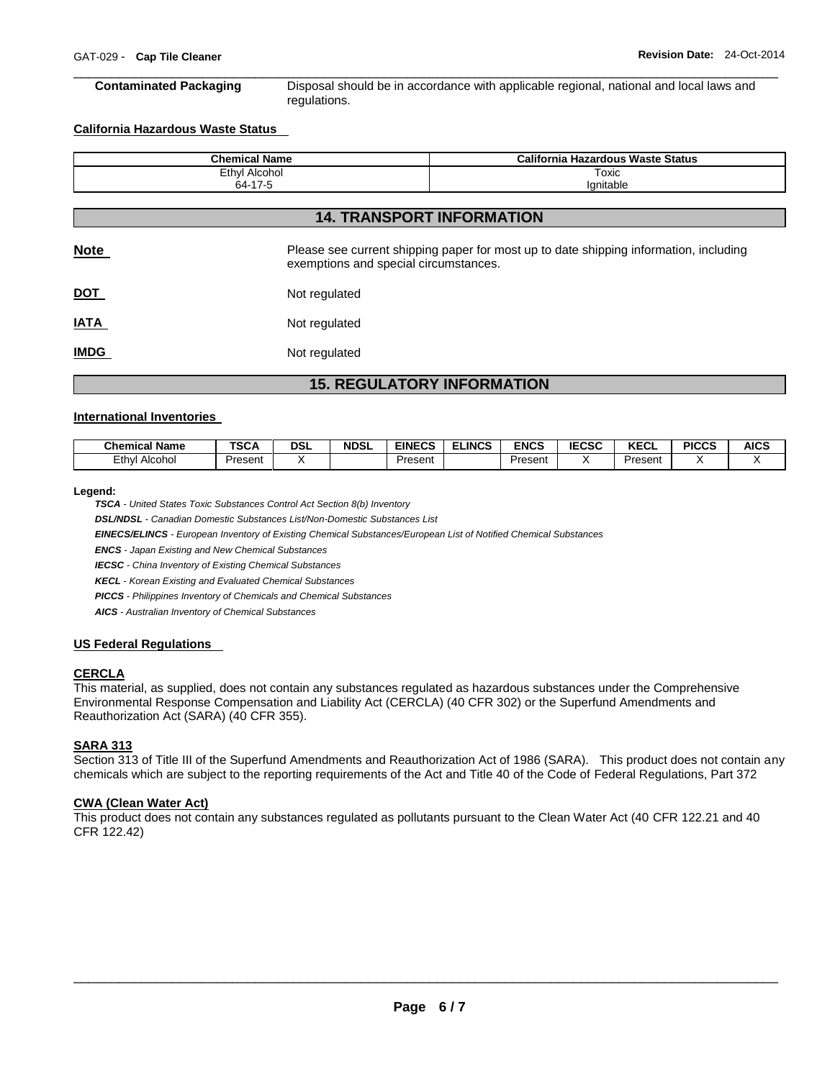\_\_\_\_\_\_\_\_\_\_\_\_\_\_\_\_\_\_\_\_\_\_\_\_\_\_\_\_\_\_\_\_\_\_\_\_\_\_\_\_\_\_\_\_\_\_\_\_\_\_\_\_\_\_\_\_\_\_\_\_\_\_\_\_\_\_\_\_\_\_\_\_\_\_\_\_\_\_\_\_\_\_\_\_\_\_\_\_\_\_\_\_\_ **Contaminated Packaging** Disposal should be in accordance with applicable regional, national and local laws and regulations.

# **California Hazardous Waste Status**

| <b>Chemical Name</b>             | California Hazardous Waste Status |  |  |  |  |  |
|----------------------------------|-----------------------------------|--|--|--|--|--|
| Ethyl Alcohol                    | Toxic                             |  |  |  |  |  |
| 64-17-5                          | lanitable                         |  |  |  |  |  |
|                                  |                                   |  |  |  |  |  |
| <b>14. TRANSPORT INFORMATION</b> |                                   |  |  |  |  |  |

| <b>Note</b> | Please see current shipping paper for most up to date shipping information, including<br>exemptions and special circumstances. |
|-------------|--------------------------------------------------------------------------------------------------------------------------------|
| <u>DOT</u>  | Not regulated                                                                                                                  |
| <u>IATA</u> | Not regulated                                                                                                                  |
| <u>IMDG</u> | Not regulated                                                                                                                  |

# **15. REGULATORY INFORMATION**

#### **International Inventories**

| ' Name<br><b>Chemical</b> | TOO A<br>っしゃ | DSL | <b>NDSL</b> | <b>EINECS</b><br>cuj | <b>ELINCS</b> | <b>ENCS</b> | <b>IECSC</b><br>uju | <b>VECI</b><br>ncul | <b>PICCS</b> | <b>AICS</b> |
|---------------------------|--------------|-----|-------------|----------------------|---------------|-------------|---------------------|---------------------|--------------|-------------|
| Ethy<br>Alcohol           | Present      |     |             | -<br>Present         |               | Present     |                     | Present             |              |             |

#### **Legend:**

*TSCA - United States Toxic Substances Control Act Section 8(b) Inventory* 

*DSL/NDSL - Canadian Domestic Substances List/Non-Domestic Substances List* 

*EINECS/ELINCS - European Inventory of Existing Chemical Substances/European List of Notified Chemical Substances* 

*ENCS - Japan Existing and New Chemical Substances* 

*IECSC - China Inventory of Existing Chemical Substances* 

*KECL - Korean Existing and Evaluated Chemical Substances* 

*PICCS - Philippines Inventory of Chemicals and Chemical Substances* 

*AICS - Australian Inventory of Chemical Substances* 

# **US Federal Regulations**

# **CERCLA**

This material, as supplied, does not contain any substances regulated as hazardous substances under the Comprehensive Environmental Response Compensation and Liability Act (CERCLA) (40 CFR 302) or the Superfund Amendments and Reauthorization Act (SARA) (40 CFR 355).

# **SARA 313**

Section 313 of Title III of the Superfund Amendments and Reauthorization Act of 1986 (SARA). This product does not contain any chemicals which are subject to the reporting requirements of the Act and Title 40 of the Code of Federal Regulations, Part 372

# **CWA (Clean Water Act)**

This product does not contain any substances regulated as pollutants pursuant to the Clean Water Act (40 CFR 122.21 and 40 CFR 122.42)